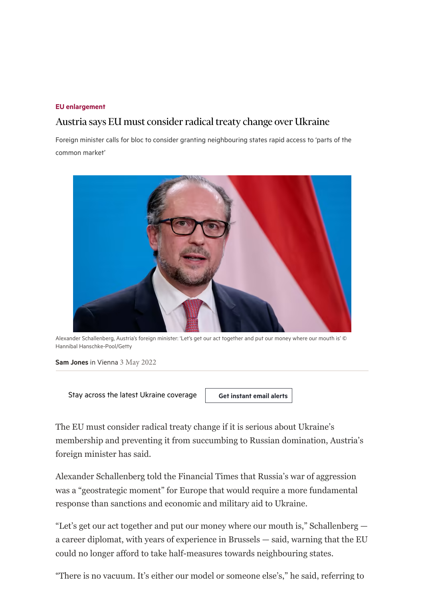## [EU enlargement](https://www.ft.com/stream/332ad696-e70c-49d7-9fb7-f9a57a0ce54a)

## Austria says EU must consider radical treaty change over Ukraine

Foreign minister calls for bloc to consider granting neighbouring states rapid access to 'parts of the common market'



Alexander Schallenberg, Austria's foreign minister: 'Let's get our act together and put our money where our mouth is' © Hannibal Hanschke-Pool/Getty

[Sam Jones](https://www.ft.com/sam-jones) in Vienna 3 May 2022

Stay across the latest Ukraine coverage Get instant email alerts

The EU must consider radical treaty change if it is serious about Ukraine's membership and preventing it from succumbing to Russian domination, Austria's foreign minister has said.

Alexander Schallenberg told the Financial Times that Russia's war of aggression was a "geostrategic moment" for Europe that would require a more fundamental response than sanctions and economic and military aid to Ukraine.

"Let's get our act together and put our money where our mouth is," Schallenberg a career diplomat, with years of experience in Brussels — said, warning that the EU could no longer afford to take half-measures towards neighbouring states.

"There is no vacuum. It's either our model or someone else's," he said, referring to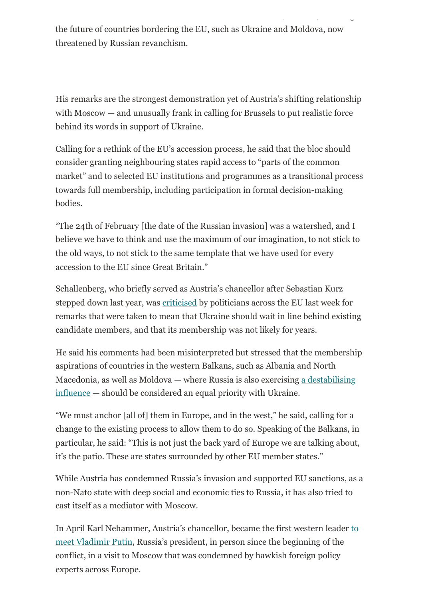the future of countries bordering the EU, such as Ukraine and Moldova, now threatened by Russian revanchism.

, , g

His remarks are the strongest demonstration yet of Austria's shifting relationship with Moscow — and unusually frank in calling for Brussels to put realistic force behind its words in support of Ukraine.

Calling for a rethink of the EU's accession process, he said that the bloc should consider granting neighbouring states rapid access to "parts of the common market" and to selected EU institutions and programmes as a transitional process towards full membership, including participation in formal decision-making bodies.

"The 24th of February [the date of the Russian invasion] was a watershed, and I believe we have to think and use the maximum of our imagination, to not stick to the old ways, to not stick to the same template that we have used for every accession to the EU since Great Britain."

Schallenberg, who briefly served as Austria's chancellor after Sebastian Kurz stepped down last year, was [criticised](https://www.rferl.org/a/ukraine-austria-eu-comments/31818924.html) by politicians across the EU last week for remarks that were taken to mean that Ukraine should wait in line behind existing candidate members, and that its membership was not likely for years.

He said his comments had been misinterpreted but stressed that the membership aspirations of countries in the western Balkans, such as Albania and North [Macedonia, as well as Moldova — where Russia is also exercising a destabilising](https://www.ft.com/content/cb2169d3-7335-4e82-906e-10b1d47d1aa5) influence — should be considered an equal priority with Ukraine.

"We must anchor [all of] them in Europe, and in the west," he said, calling for a change to the existing process to allow them to do so. Speaking of the Balkans, in particular, he said: "This is not just the back yard of Europe we are talking about, it's the patio. These are states surrounded by other EU member states."

While Austria has condemned Russia's invasion and supported EU sanctions, as a non-Nato state with deep social and economic ties to Russia, it has also tried to cast itself as a mediator with Moscow.

[In April Karl Nehammer, Austria's chancellor, became the first western leader to](https://www.ft.com/content/8c17a97f-a867-42ed-9e74-bef305e0b884) meet Vladimir Putin, Russia's president, in person since the beginning of the conflict, in a visit to Moscow that was condemned by hawkish foreign policy experts across Europe.